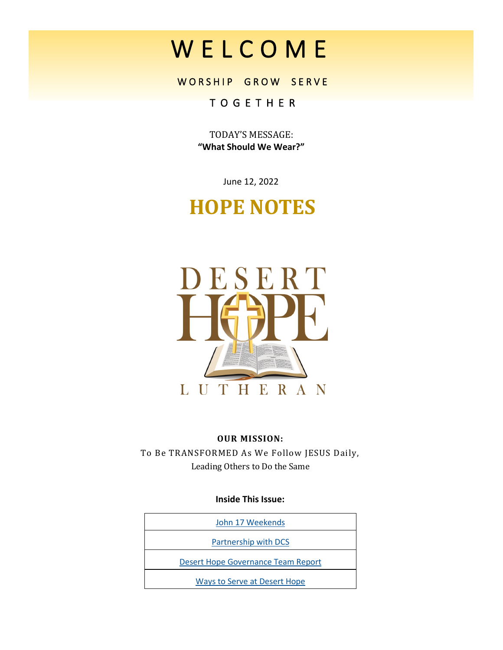# W E L C O M E

WORSHIP GROW SERVE

# T O G E T H E R

TODAY'S MESSAGE: **"What Should We Wear?"**

June 12, 2022

# **HOPE NOTES**



#### **OUR MISSION:**

To Be TRANSFORMED As We Follow JESUS Daily, Leading Others to Do the Same

#### **Inside This Issue:**

| John 17 Weekends                    |
|-------------------------------------|
| Partnership with DCS                |
| Desert Hope Governance Team Report  |
| <b>Ways to Serve at Desert Hope</b> |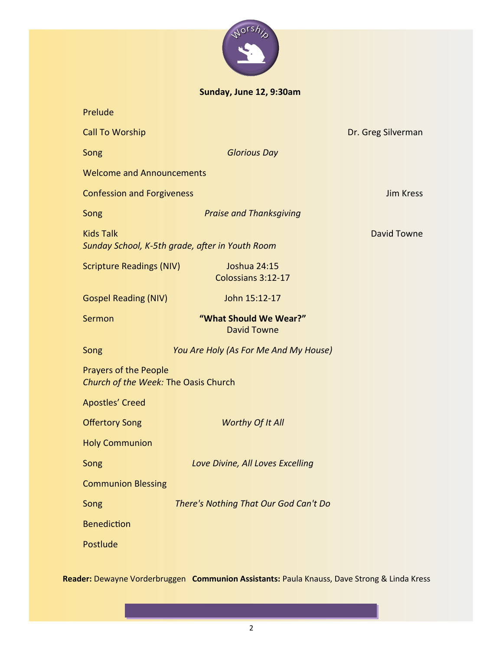

**Sunday, June 12, 9:30am**

| Prelude                                                              |                                              |                    |  |
|----------------------------------------------------------------------|----------------------------------------------|--------------------|--|
| <b>Call To Worship</b>                                               |                                              | Dr. Greg Silverman |  |
| Song                                                                 | <b>Glorious Day</b>                          |                    |  |
| <b>Welcome and Announcements</b>                                     |                                              |                    |  |
| <b>Confession and Forgiveness</b>                                    |                                              | <b>Jim Kress</b>   |  |
| Song                                                                 | <b>Praise and Thanksgiving</b>               |                    |  |
| <b>Kids Talk</b><br>Sunday School, K-5th grade, after in Youth Room  | <b>David Towne</b>                           |                    |  |
| <b>Scripture Readings (NIV)</b>                                      | <b>Joshua 24:15</b><br>Colossians 3:12-17    |                    |  |
| <b>Gospel Reading (NIV)</b>                                          | John 15:12-17                                |                    |  |
| Sermon                                                               | "What Should We Wear?"<br><b>David Towne</b> |                    |  |
| Song                                                                 | You Are Holy (As For Me And My House)        |                    |  |
| <b>Prayers of the People</b><br>Church of the Week: The Oasis Church |                                              |                    |  |
| <b>Apostles' Creed</b>                                               |                                              |                    |  |
| <b>Offertory Song</b>                                                | Worthy Of It All                             |                    |  |
| <b>Holy Communion</b>                                                |                                              |                    |  |
| Song                                                                 | Love Divine, All Loves Excelling             |                    |  |
| <b>Communion Blessing</b>                                            |                                              |                    |  |
| Song                                                                 | There's Nothing That Our God Can't Do        |                    |  |
| <b>Benediction</b>                                                   |                                              |                    |  |
| Postlude                                                             |                                              |                    |  |

**Reader:** Dewayne Vorderbruggen **Communion Assistants:** Paula Knauss, Dave Strong & Linda Kress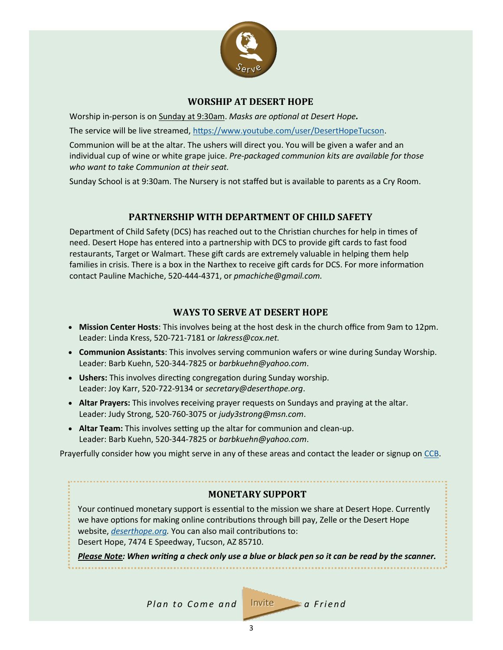

#### **WORSHIP AT DESERT HOPE**

<span id="page-2-0"></span>Worship in-person is on Sunday at 9:30am. *Masks are optional at Desert Hope.*

The service will be live streamed, [https://www.youtube.com/user/DesertHopeTucson.](https://www.youtube.com/user/DesertHopeTucson)

Communion will be at the altar. The ushers will direct you. You will be given a wafer and an individual cup of wine or white grape juice. *Pre-packaged communion kits are available for those who want to take Communion at their seat.*

Sunday School is at 9:30am. The Nursery is not staffed but is available to parents as a Cry Room.

#### **PARTNERSHIP WITH DEPARTMENT OF CHILD SAFETY**

Department of Child Safety (DCS) has reached out to the Christian churches for help in times of need. Desert Hope has entered into a partnership with DCS to provide gift cards to fast food restaurants, Target or Walmart. These gift cards are extremely valuable in helping them help families in crisis. There is a box in the Narthex to receive gift cards for DCS. For more information contact Pauline Machiche, 520-444-4371, or *pmachiche@gmail.com.*

#### **WAYS TO SERVE AT DESERT HOPE**

- **Mission Center Hosts**: This involves being at the host desk in the church office from 9am to 12pm. Leader: Linda Kress, 520-721-7181 or *lakress@cox.net.*
- **Communion Assistants**: This involves serving communion wafers or wine during Sunday Worship. Leader: Barb Kuehn, 520-344-7825 or *barbkuehn@yahoo.com*.
- **Ushers:** This involves directing congregation during Sunday worship. Leader: Joy Karr, 520-722-9134 or *secretary@deserthope.org*.
- **Altar Prayers:** This involves **r**eceiving prayer requests on Sundays and praying at the altar. Leader: Judy Strong, 520-760-3075 or *judy3strong@msn.com*.
- **Altar Team:** This involves setting up the altar for communion and clean-up. Leader: Barb Kuehn, 520-344-7825 or *barbkuehn@yahoo.com*.

Prayerfully consider how you might serve in any of these areas and contact the leader or signup on [CCB.](https://deserthope.ccbchurch.com/goto/login)

#### **MONETARY SUPPORT**

Your continued monetary support is essential to the mission we share at Desert Hope. Currently we have options for making online contributions through bill pay, Zelle or the Desert Hope website, *[deserthope.org.](http://www.deserthope.org)* You can also mail contributions to: Desert Hope, 7474 E Speedway, Tucson, AZ 85710.

*Please Note: When writing a check only use a blue or black pen so it can be read by the scanner.*

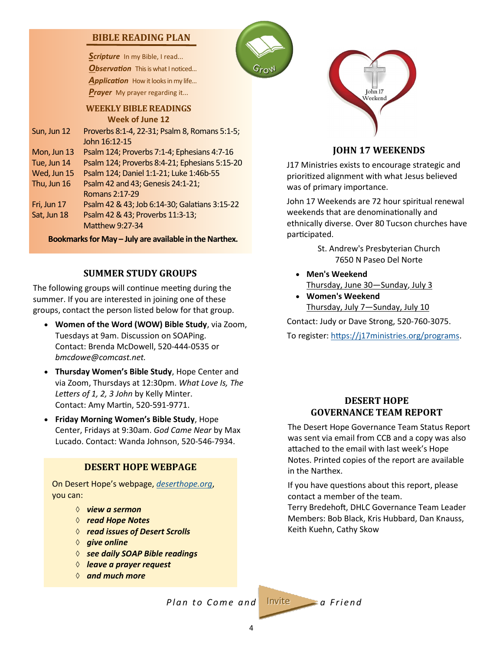#### <span id="page-3-0"></span>**BIBLE READING PLAN**

Scripture In my Bible, I read... **Observation** This is what I noticed... Application How it looks in my life... *Prayer* My prayer regarding it...

**WEEKLY BIBLE READINGS Week of June 12** Sun, Jun 12 Proverbs 8:1-4, 22-31; Psalm 8, Romans 5:1-5;

John 16:12-15 Mon, Jun 13 Psalm 124; Proverbs 7:1-4; Ephesians 4:7-16 Tue, Jun 14 Psalm 124; Proverbs 8:4-21; Ephesians 5:15-20

Wed, Jun 15 Psalm 124; Daniel 1:1-21; Luke 1:46b-55 Thu, Jun  $16$  Psalm 42 and 43; Genesis  $24:1-21$ ; Romans 2:17-29 Fri, Jun 17 Psalm 42 & 43; Job 6:14-30; Galatians 3:15-22 Sat, Jun 18 Psalm 42 & 43; Proverbs 11:3-13; Matthew 9:27-34

**Bookmarks for May – July are available in the Narthex.**

#### **SUMMER STUDY GROUPS**

The following groups will continue meeting during the summer. If you are interested in joining one of these groups, contact the person listed below for that group.

- **Women of the Word (WOW) Bible Study**, via Zoom, Tuesdays at 9am. Discussion on SOAPing. Contact: Brenda McDowell, 520-444-0535 or *bmcdowe@comcast.net.*
- **Thursday Women's Bible Study**, Hope Center and via Zoom, Thursdays at 12:30pm. *What Love Is, The Letters of 1, 2, 3 John* by Kelly Minter. Contact: Amy Martin, 520-591-9771.
- **Friday Morning Women's Bible Study**, Hope Center, Fridays at 9:30am. *God Came Near* by Max Lucado. Contact: Wanda Johnson, 520-546-7934.

#### **DESERT HOPE WEBPAGE**

On Desert Hope's webpage, *<deserthope.org>*, you can:

- *view a sermon*
- *read Hope Notes*
- *read issues of Desert Scrolls*
- $\Diamond$  *give online*
- *see daily SOAP Bible readings*
- *leave a prayer request*
- *and much more*





#### **JOHN 17 WEEKENDS**

J17 Ministries exists to encourage strategic and prioritized alignment with what Jesus believed was of primary importance.

John 17 Weekends are 72 hour spiritual renewal weekends that are denominationally and ethnically diverse. Over 80 Tucson churches have participated.

> St. Andrew's Presbyterian Church 7650 N Paseo Del Norte

- **Men's Weekend** Thursday, June 30—Sunday, July 3
- **Women's Weekend** Thursday, July 7—Sunday, July 10

Contact: Judy or Dave Strong, 520-760-3075.

To register: [https://j17ministries.org/programs.](https://j17ministries.org/programs)

#### **DESERT HOPE GOVERNANCE TEAM REPORT**

The Desert Hope Governance Team Status Report was sent via email from CCB and a copy was also attached to the email with last week's Hope Notes. Printed copies of the report are available in the Narthex.

If you have questions about this report, please contact a member of the team.

Terry Bredehoft, DHLC Governance Team Leader Members: Bob Black, Kris Hubbard, Dan Knauss, Keith Kuehn, Cathy Skow

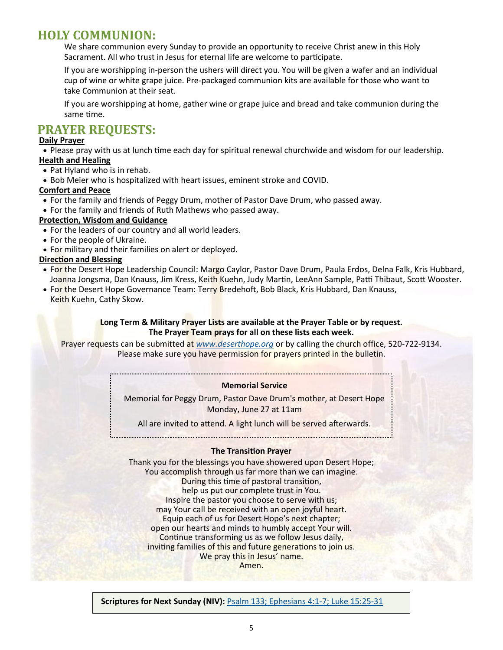## **HOLY COMMUNION:**

We share communion every Sunday to provide an opportunity to receive Christ anew in this Holy Sacrament. All who trust in Jesus for eternal life are welcome to participate.

If you are worshipping in-person the ushers will direct you. You will be given a wafer and an individual cup of wine or white grape juice. Pre-packaged communion kits are available for those who want to take Communion at their seat.

If you are worshipping at home, gather wine or grape juice and bread and take communion during the same time.

### **PRAYER REQUESTS:**

#### **Daily Prayer**

• Please pray with us at lunch time each day for spiritual renewal churchwide and wisdom for our leadership. **Health and Healing**

- Pat Hyland who is in rehab.
- Bob Meier who is hospitalized with heart issues, eminent stroke and COVID.

#### **Comfort and Peace**

- For the family and friends of Peggy Drum, mother of Pastor Dave Drum, who passed away.
- For the family and friends of Ruth Mathews who passed away.

#### **Protection, Wisdom and Guidance**

- For the leaders of our country and all world leaders.
- For the people of Ukraine.
- For military and their families on alert or deployed.

#### **Direction and Blessing**

- For the Desert Hope Leadership Council: Margo Caylor, Pastor Dave Drum, Paula Erdos, Delna Falk, Kris Hubbard, Joanna Jongsma, Dan Knauss, Jim Kress, Keith Kuehn, Judy Martin, LeeAnn Sample, Patti Thibaut, Scott Wooster.
- For the Desert Hope Governance Team: Terry Bredehoft, Bob Black, Kris Hubbard, Dan Knauss,
- Keith Kuehn, Cathy Skow.

#### **Long Term & Military Prayer Lists are available at the Prayer Table or by request. The Prayer Team prays for all on these lists each week.**

Prayer requests can be submitted at *[www.deserthope.org](http://www.deserthope.org)* or by calling the church office, 520-722-9134. Please make sure you have permission for prayers printed in the bulletin.

#### **Memorial Service**

Memorial for Peggy Drum, Pastor Dave Drum's mother, at Desert Hope Monday, June 27 at 11am

All are invited to attend. A light lunch will be served afterwards.

#### **The Transition Prayer**

Thank you for the blessings you have showered upon Desert Hope; You accomplish through us far more than we can imagine. During this time of pastoral transition, help us put our complete trust in You. Inspire the pastor you choose to serve with us; may Your call be received with an open joyful heart. Equip each of us for Desert Hope's next chapter; open our hearts and minds to humbly accept Your will. Continue transforming us as we follow Jesus daily, inviting families of this and future generations to join us. We pray this in Jesus' name. Amen.

**Scriptures for Next Sunday (NIV):** [Psalm 133; Ephesians 4:1](https://www.biblegateway.com/passage/?search=Psalm+133%3B+Ephesians+4%3A1-7%3B+Luke+15%3A25-31&version=NIV)-7; Luke 15:25-31